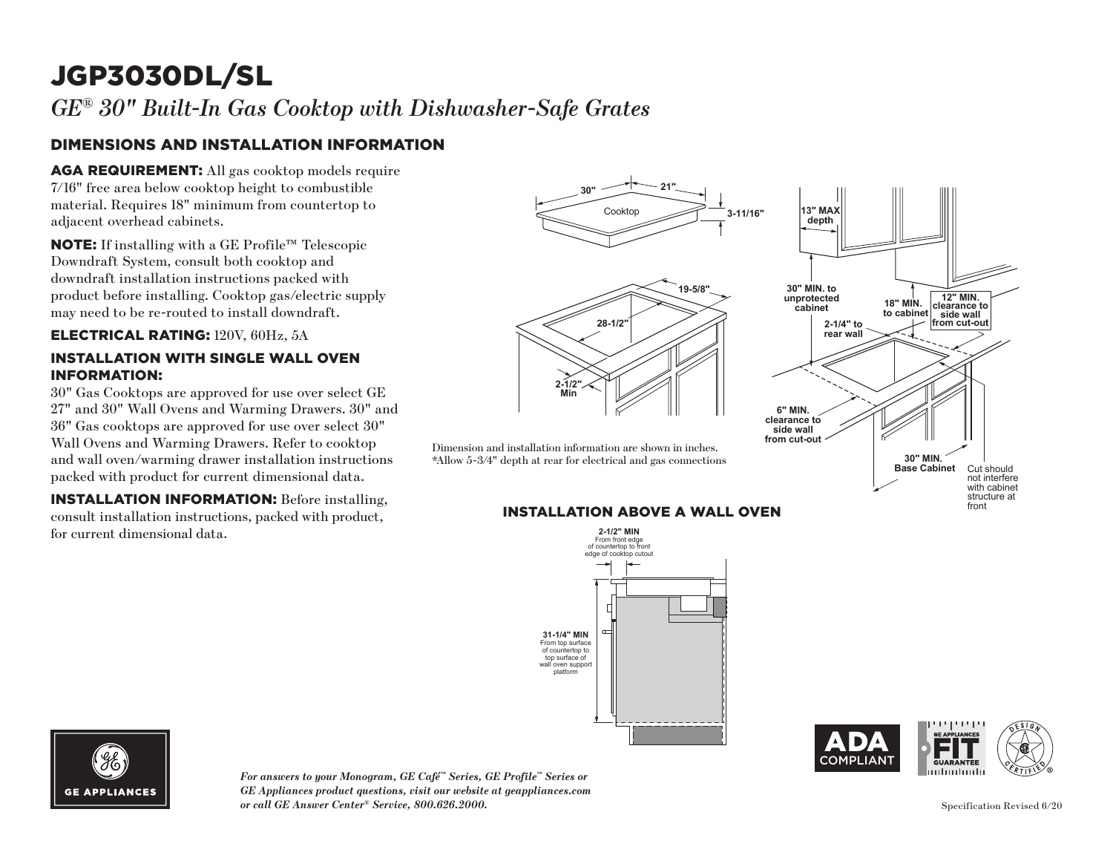# JGP3030DL/SL

*GE® 30" Built-In Gas Cooktop with Dishwasher-Safe Grates*

### DIMENSIONS AND INSTALLATION INFORMATION

AGA REQUIREMENT: All gas cooktop models require 7/16" free area below cooktop height to combustible material. Requires 18" minimum from countertop to adjacent overhead cabinets.

NOTE: If installing with a GE Profile™ Telescopic Downdraft System, consult both cooktop and downdraft installation instructions packed with product before installing. Cooktop gas/electric supply may need to be re-routed to install downdraft.

#### ELECTRICAL RATING: 120V, 60Hz, 5A

#### INSTALLATION WITH SINGLE WALL OVEN INFORMATION:

30" Gas Cooktops are approved for use over select GE 27" and 30" Wall Ovens and Warming Drawers. 30" and 36" Gas cooktops are approved for use over select 30" Wall Ovens and Warming Drawers. Refer to cooktop and wall oven/warming drawer installation instructions packed with product for current dimensional data.

INSTALLATION INFORMATION: Before installing, consult installation instructions, packed with product, for current dimensional data.



## **INSTALLATION ABOVE A WALL OVEN**







*For answers to your Monogram, GE Café™ Series, GE Profile™ Series or GE Appliances product questions, visit our website at geappliances.com or call GE Answer Center® Service, 800.626.2000.*